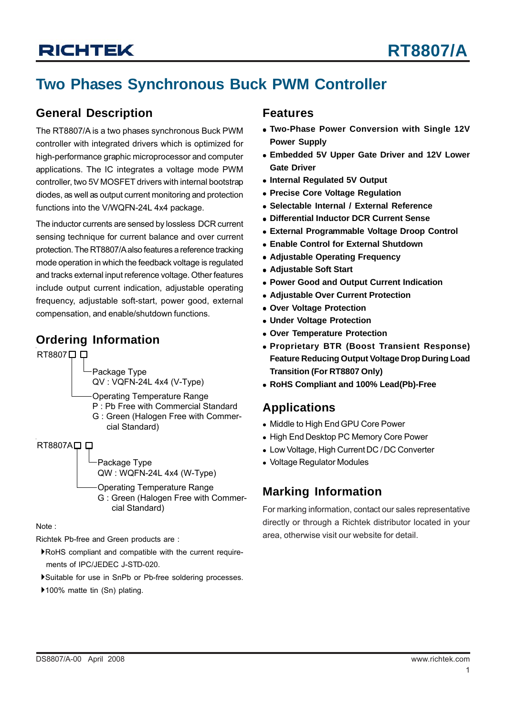## **Two Phases Synchronous Buck PWM Controller**

### **General Description**

The RT8807/A is a two phases synchronous Buck PWM controller with integrated drivers which is optimized for high-performance graphic microprocessor and computer applications. The IC integrates a voltage mode PWM controller, two 5V MOSFET drivers with internal bootstrap diodes, as well as output current monitoring and protection functions into the V/WQFN-24L 4x4 package.

The inductor currents are sensed by lossless DCR current sensing technique for current balance and over current protection. The RT8807/A also features a reference tracking mode operation in which the feedback voltage is regulated and tracks external input reference voltage. Other features include output current indication, adjustable operating frequency, adjustable soft-start, power good, external compensation, and enable/shutdown functions.

### **Ordering Information**

RT8807<sup> $\Box$ </sup>

Package Type QV : VQFN-24L 4x4 (V-Type)

Operating Temperature Range

- P : Pb Free with Commercial Standard
- G : Green (Halogen Free with Commer cial Standard)

RT8807A口口

Package Type QW : WQFN-24L 4x4 (W-Type)

Operating Temperature Range G : Green (Halogen Free with Commer cial Standard)

Note :

Richtek Pb-free and Green products are :

- `RoHS compliant and compatible with the current require ments of IPC/JEDEC J-STD-020.
- `Suitable for use in SnPb or Pb-free soldering processes.
- ▶100% matte tin (Sn) plating.

### **Features**

- **Two-Phase Power Conversion with Single 12V Power Supply**
- **Embedded 5V Upper Gate Driver and 12V Lower Gate Driver**
- **Internal Regulated 5V Output**
- **Precise Core Voltage Regulation**
- <sup>z</sup> **Selectable Internal / External Reference**
- <sup>z</sup> **Differential Inductor DCR Current Sense**
- **External Programmable Voltage Droop Control**
- **Enable Control for External Shutdown**
- **Adjustable Operating Frequency**
- **Adjustable Soft Start**
- <sup>z</sup> **Power Good and Output Current Indication**
- **Adiustable Over Current Protection**
- **Over Voltage Protection**
- $\bullet$  **Under Voltage Protection**
- **Over Temperature Protection**
- <sup>z</sup> **Proprietary BTR (Boost Transient Response) Feature Reducing Output Voltage Drop During Load Transition (For RT8807 Only)**
- <sup>z</sup> **RoHS Compliant and 100% Lead(Pb)-Free**

### **Applications**

- Middle to High End GPU Core Power
- High End Desktop PC Memory Core Power
- Low Voltage, High Current DC / DC Converter
- Voltage Regulator Modules

### **Marking Information**

For marking information, contact our sales representative directly or through a Richtek distributor located in your area, otherwise visit our website for detail.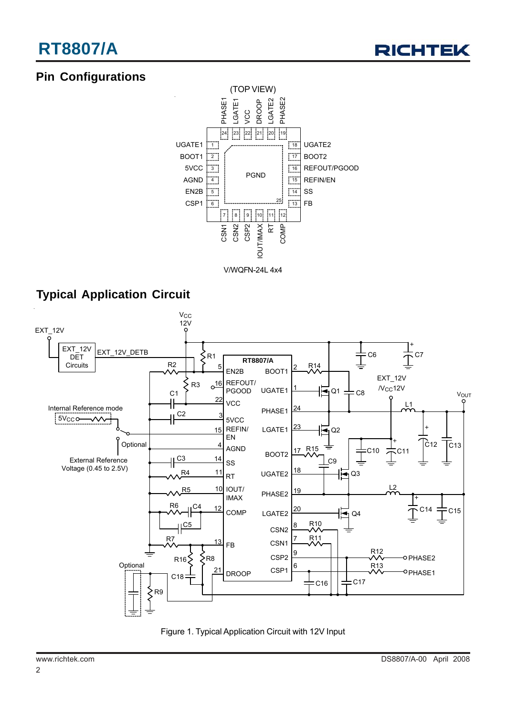## **Pin Configurations**



V/WQFN-24L 4x4

### **Typical Application Circuit**



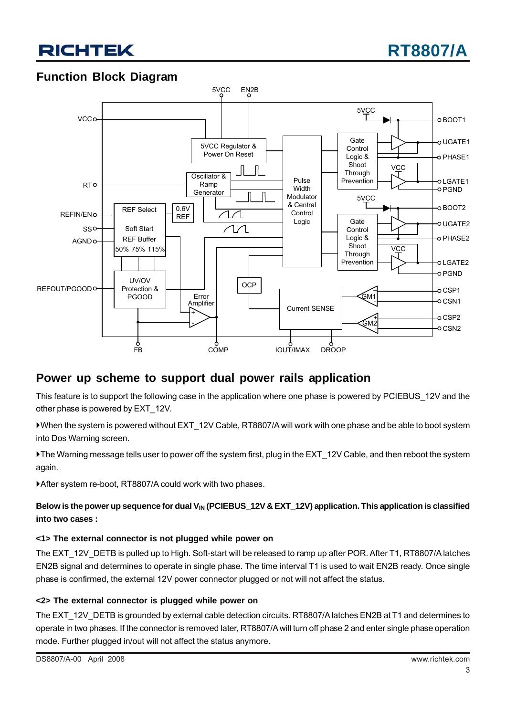



### **Function Block Diagram**



### **Power up scheme to support dual power rails application**

This feature is to support the following case in the application where one phase is powered by PCIEBUS 12V and the other phase is powered by EXT\_12V.

`When the system is powered without EXT\_12V Cable, RT8807/A will work with one phase and be able to boot system into Dos Warning screen.

`The Warning message tells user to power off the system first, plug in the EXT\_12V Cable, and then reboot the system again.

▶ After system re-boot, RT8807/A could work with two phases.

### Below is the power up sequence for dual V<sub>IN</sub> (PCIEBUS 12V & EXT 12V) application. This application is classified **into two cases :**

### **<1> The external connector is not plugged while power on**

The EXT\_12V\_DETB is pulled up to High. Soft-start will be released to ramp up after POR. After T1, RT8807/A latches EN2B signal and determines to operate in single phase. The time interval T1 is used to wait EN2B ready. Once single phase is confirmed, the external 12V power connector plugged or not will not affect the status.

### **<2> The external connector is plugged while power on**

The EXT\_12V\_DETB is grounded by external cable detection circuits. RT8807/A latches EN2B at T1 and determines to operate in two phases. If the connector is removed later, RT8807/A will turn off phase 2 and enter single phase operation mode. Further plugged in/out will not affect the status anymore.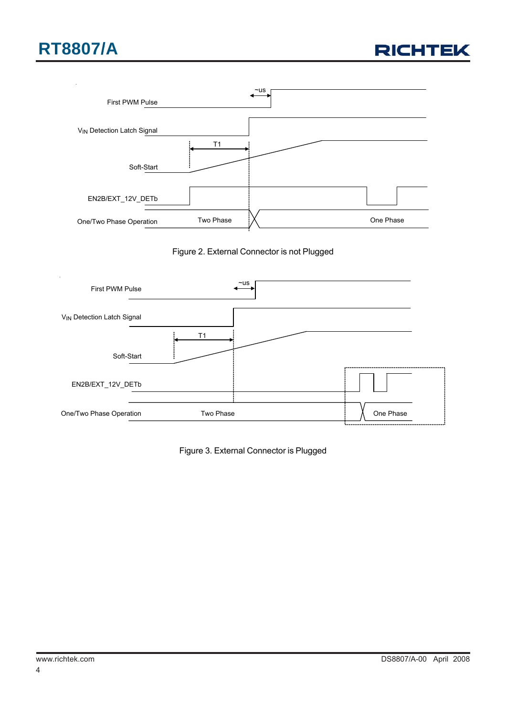









Figure 3. External Connector is Plugged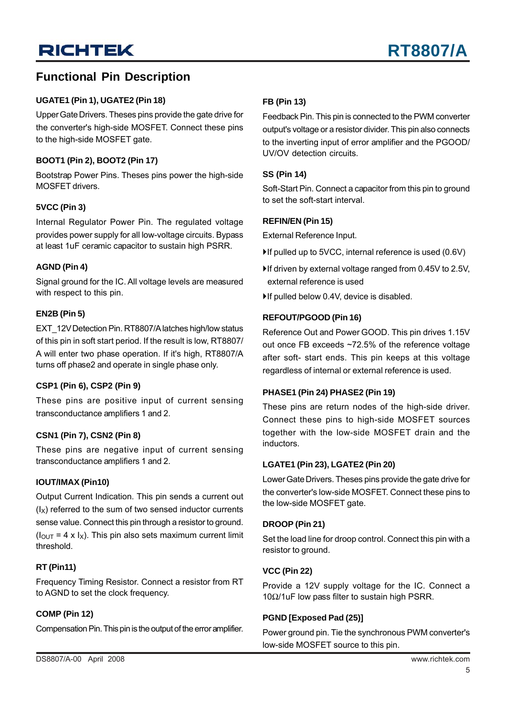### **Functional Pin Description**

### **UGATE1 (Pin 1), UGATE2 (Pin 18)**

Upper Gate Drivers. Theses pins provide the gate drive for the converter's high-side MOSFET. Connect these pins to the high-side MOSFET gate.

### **BOOT1 (Pin 2), BOOT2 (Pin 17)**

Bootstrap Power Pins. Theses pins power the high-side MOSFET drivers.

### **5VCC (Pin 3)**

Internal Regulator Power Pin. The regulated voltage provides power supply for all low-voltage circuits. Bypass at least 1uF ceramic capacitor to sustain high PSRR.

### **AGND (Pin 4)**

Signal ground for the IC. All voltage levels are measured with respect to this pin.

### **EN2B (Pin 5)**

EXT\_12V Detection Pin. RT8807/A latches high/low status of this pin in soft start period. If the result is low, RT8807/ A will enter two phase operation. If it's high, RT8807/A turns off phase2 and operate in single phase only.

#### **CSP1 (Pin 6), CSP2 (Pin 9)**

These pins are positive input of current sensing transconductance amplifiers 1 and 2.

### **CSN1 (Pin 7), CSN2 (Pin 8)**

These pins are negative input of current sensing transconductance amplifiers 1 and 2.

#### **IOUT/IMAX (Pin10)**

Output Current Indication. This pin sends a current out  $(I_X)$  referred to the sum of two sensed inductor currents sense value. Connect this pin through a resistor to ground.  $(I<sub>OUT</sub> = 4 x I<sub>X</sub>)$ . This pin also sets maximum current limit threshold.

### **RT (Pin11)**

Frequency Timing Resistor. Connect a resistor from RT to AGND to set the clock frequency.

### **COMP (Pin 12)**

Compensation Pin. This pin is the output of the error amplifier.

### **FB (Pin 13)**

Feedback Pin. This pin is connected to the PWM converter output's voltage or a resistor divider. This pin also connects to the inverting input of error amplifier and the PGOOD/ UV/OV detection circuits.

#### **SS (Pin 14)**

Soft-Start Pin. Connect a capacitor from this pin to ground to set the soft-start interval.

### **REFIN/EN (Pin 15)**

External Reference Input.

- $\blacktriangleright$  If pulled up to 5VCC, internal reference is used (0.6V)
- $\blacktriangleright$  If driven by external voltage ranged from 0.45V to 2.5V, external reference is used
- $\blacktriangleright$  If pulled below 0.4V, device is disabled.

### **REFOUT/PGOOD (Pin 16)**

Reference Out and Power GOOD. This pin drives 1.15V out once FB exceeds ~72.5% of the reference voltage after soft- start ends. This pin keeps at this voltage regardless of internal or external reference is used.

### **PHASE1 (Pin 24) PHASE2 (Pin 19)**

These pins are return nodes of the high-side driver. Connect these pins to high-side MOSFET sources together with the low-side MOSFET drain and the inductors.

#### **LGATE1 (Pin 23), LGATE2 (Pin 20)**

Lower Gate Drivers. Theses pins provide the gate drive for the converter's low-side MOSFET. Connect these pins to the low-side MOSFET gate.

#### **DROOP (Pin 21)**

Set the load line for droop control. Connect this pin with a resistor to ground.

#### **VCC (Pin 22)**

Provide a 12V supply voltage for the IC. Connect a 10Ω/1uF low pass filter to sustain high PSRR.

### **PGND [Exposed Pad (25)]**

Power ground pin. Tie the synchronous PWM converter's low-side MOSFET source to this pin.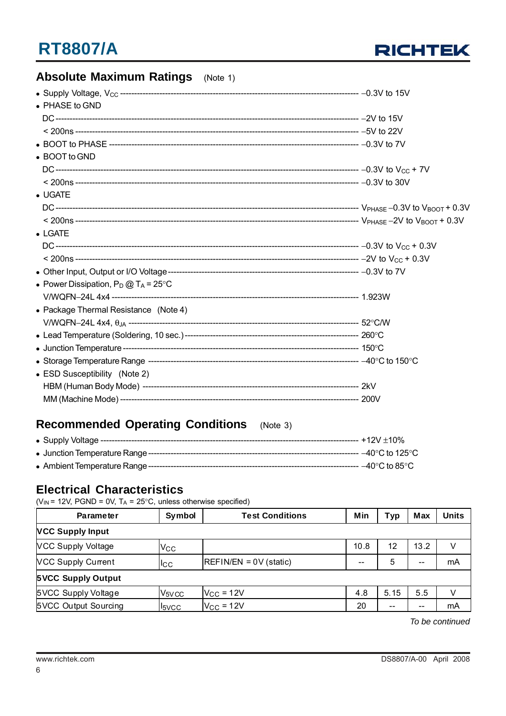

### **Absolute Maximum Ratings** (Note 1)

| • PHASE to GND                                 |  |
|------------------------------------------------|--|
|                                                |  |
|                                                |  |
|                                                |  |
| • BOOT to GND                                  |  |
|                                                |  |
|                                                |  |
| $\bullet$ UGATE                                |  |
|                                                |  |
|                                                |  |
| $\bullet$ LGATE                                |  |
|                                                |  |
|                                                |  |
|                                                |  |
| • Power Dissipation, $P_D @ T_A = 25^{\circ}C$ |  |
|                                                |  |
| • Package Thermal Resistance (Note 4)          |  |
|                                                |  |
|                                                |  |
|                                                |  |
|                                                |  |
| • ESD Susceptibility (Note 2)                  |  |
|                                                |  |
|                                                |  |

### **Recommended Operating Conditions** (Note 3)

### **Electrical Characteristics**

( $V_{IN}$  = 12V, PGND = 0V, T<sub>A</sub> = 25°C, unless otherwise specified)

| <b>Parameter</b>          | Symbol                         | <b>Test Conditions</b>   | Min   | <b>Typ</b> | <b>Max</b> | <b>Units</b> |
|---------------------------|--------------------------------|--------------------------|-------|------------|------------|--------------|
| <b>VCC Supply Input</b>   |                                |                          |       |            |            |              |
| <b>VCC Supply Voltage</b> | $V_{\rm CC}$                   |                          | 10.8  | 12         | 13.2       | V            |
| <b>VCC Supply Current</b> | <b>I</b> CC                    | $REFIN/EN = 0V$ (static) | $- -$ | 5          | $- -$      | mA           |
| <b>5VCC Supply Output</b> |                                |                          |       |            |            |              |
| 5VCC Supply Voltage       | V <sub>5</sub> V <sub>CC</sub> | $V_{\rm CC}$ = 12V       | 4.8   | 5.15       | 5.5        |              |
| 5VCC Output Sourcing      | <b>I</b> <sub>5VCC</sub>       | $V_{CC}$ = 12V           | 20    | $- -$      | $- -$      | mA           |

*To be continued*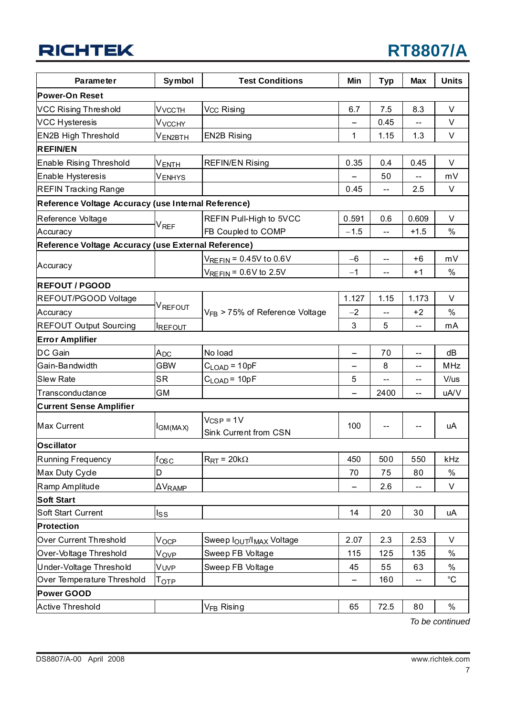## **RT8807/A**

| <b>Parameter</b>                                    | Symbol                      | <b>Test Conditions</b>                  | Min                      | <b>Typ</b>     | <b>Max</b>               | <b>Units</b>      |
|-----------------------------------------------------|-----------------------------|-----------------------------------------|--------------------------|----------------|--------------------------|-------------------|
| Power-On Reset                                      |                             |                                         |                          |                |                          |                   |
| VCC Rising Threshold                                | V <sub>VCCTH</sub>          | V <sub>CC</sub> Rising                  | 6.7                      | 7.5            | 8.3                      | $\vee$            |
| <b>VCC Hysteresis</b>                               | V <sub>VCCHY</sub>          |                                         |                          | 0.45           | $\overline{\phantom{a}}$ | V                 |
| <b>EN2B High Threshold</b>                          | V <sub>EN2BTH</sub>         | <b>EN2B Rising</b>                      | 1                        | 1.15           | 1.3                      | V                 |
| <b>REFIN/EN</b>                                     |                             |                                         |                          |                |                          |                   |
| Enable Rising Threshold                             | V <sub>ENTH</sub>           | <b>REFIN/EN Rising</b>                  | 0.35                     | 0.4            | 0.45                     | $\vee$            |
| Enable Hysteresis                                   | Venhys                      |                                         |                          | 50             |                          | mV                |
| <b>REFIN Tracking Range</b>                         |                             |                                         | 0.45                     | $\overline{a}$ | 2.5                      | V                 |
| Reference Voltage Accuracy (use Internal Reference) |                             |                                         |                          |                |                          |                   |
| Reference Voltage                                   |                             | REFIN Pull-High to 5VCC                 | 0.591                    | 0.6            | 0.609                    | V                 |
| Accuracy                                            | $\mathsf{V}_{\mathsf{REF}}$ | FB Coupled to COMP                      | $-1.5$                   | $\overline{a}$ | $+1.5$                   | $\%$              |
| Reference Voltage Accuracy (use External Reference) |                             |                                         |                          |                |                          |                   |
|                                                     |                             | $V_{REFIN} = 0.45V$ to 0.6V             | $-6$                     |                | $+6$                     | mV                |
| Accuracy                                            |                             | $V_{REFIN} = 0.6V$ to 2.5V              | $-1$                     | --             | $+1$                     | $\%$              |
| <b>REFOUT / PGOOD</b>                               |                             |                                         |                          |                |                          |                   |
| REFOUT/PGOOD Voltage                                |                             |                                         | 1.127                    | 1.15           | 1.173                    | V                 |
| Accuracy                                            | V <sub>REFOUT</sub>         | $V_{FB}$ > 75% of Reference Voltage     | $-2$                     | --             | $+2$                     | %                 |
| <b>REFOUT Output Sourcing</b>                       | <b>IREFOUT</b>              |                                         | 3                        | 5              | $-$                      | mA                |
| <b>Error Amplifier</b>                              |                             |                                         |                          |                |                          |                   |
| DC Gain                                             | A <sub>DC</sub>             | No load                                 | $\overline{\phantom{0}}$ | 70             | $\overline{\phantom{a}}$ | dB                |
| Gain-Bandwidth                                      | <b>GBW</b>                  | $C_{\text{LOAD}} = 10pF$                |                          | 8              | --                       | MHz               |
| Slew Rate                                           | <b>SR</b>                   | $C_{\text{LOAD}} = 10pF$                | 5                        | $-$            | --                       | V/us              |
| Transconductance                                    | GM                          |                                         |                          | 2400           | $\overline{\phantom{a}}$ | uA/V              |
| <b>Current Sense Amplifier</b>                      |                             |                                         |                          |                |                          |                   |
| Max Current                                         | I <sub>GM(MAX)</sub>        | $V_{CSP} = 1V$<br>Sink Current from CSN | 100                      | $-$            | $-$                      | uA                |
| Oscillator                                          |                             |                                         |                          |                |                          |                   |
| Running Frequency                                   | $f_{\rm OSC}$               | $R_{\text{RT}}$ = 20k $\Omega$          | 450                      | 500            | 550                      | kHz               |
| Max Duty Cycle                                      | D                           |                                         | 70                       | 75             | 80                       | $\%$              |
| Ramp Amplitude                                      | $\Delta \rm{V}_{\rm{RAMP}}$ |                                         |                          | 2.6            |                          | V                 |
| Soft Start                                          |                             |                                         |                          |                |                          |                   |
| Soft Start Current                                  | $I_{\text{SS}}$             |                                         | 14                       | 20             | 30                       | uA                |
| Protection                                          |                             |                                         |                          |                |                          |                   |
| Over Current Threshold                              | V <sub>OCP</sub>            | Sweep lOUT/IMAX Voltage                 | 2.07                     | 2.3            | 2.53                     | V                 |
| Over-Voltage Threshold                              | V <sub>OVP</sub>            | Sweep FB Voltage                        | 115                      | 125            | 135                      | $\%$              |
| Under-Voltage Threshold                             | Vuvp                        | Sweep FB Voltage                        | 45                       | 55             | 63                       | $\%$              |
| Over Temperature Threshold                          | Тотр                        |                                         |                          | 160            |                          | $^{\circ}{\rm C}$ |
| Power GOOD                                          |                             |                                         |                          |                |                          |                   |
| Active Threshold                                    |                             | V <sub>FB</sub> Rising                  | 65                       | 72.5           | 80                       | $\%$              |

*To be continued*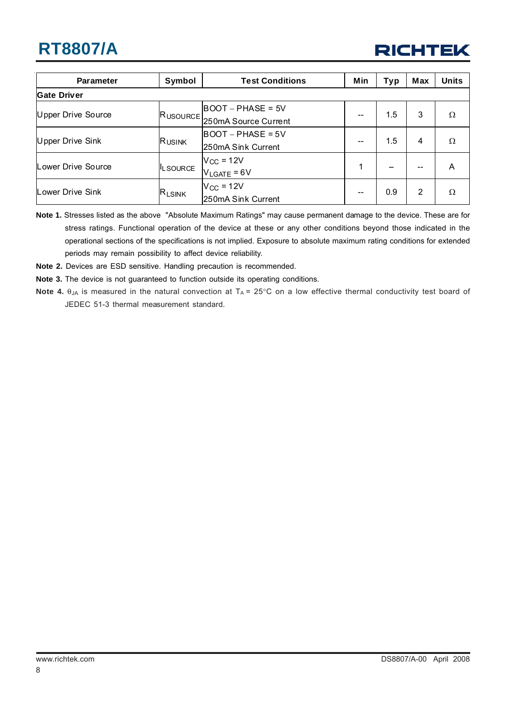

| <b>Parameter</b>   | Symbol                        | <b>Test Conditions</b>        | Min | Typ     | <b>Max</b> | <b>Units</b> |
|--------------------|-------------------------------|-------------------------------|-----|---------|------------|--------------|
| <b>Gate Driver</b> |                               |                               |     |         |            |              |
| Upper Drive Source |                               | BOOT – PHASE = 5V             |     | $1.5\,$ | 3          | Ω            |
|                    |                               | RUSOURCE 250mA Source Current |     |         |            |              |
|                    | RUSINK                        | BOOT – PHASE = 5V             | --  | 1.5     | 4          | Ω            |
| Upper Drive Sink   |                               | 250mA Sink Current            |     |         |            |              |
|                    | <sup>I</sup> LSOURCE          | $V_{CC}$ = 12V                | 1   |         |            | A            |
| Lower Drive Source |                               | $V_{LGATE} = 6V$              |     |         |            |              |
|                    |                               | $V_{CC}$ = 12V                |     | 0.9     |            |              |
| Lower Drive Sink   | $\mathsf{R}_{\mathsf{LSINK}}$ | 250mA Sink Current            |     |         | 2          | Ω            |

**Note 1.** Stresses listed as the above "Absolute Maximum Ratings" may cause permanent damage to the device. These are for stress ratings. Functional operation of the device at these or any other conditions beyond those indicated in the operational sections of the specifications is not implied. Exposure to absolute maximum rating conditions for extended periods may remain possibility to affect device reliability.

**Note 2.** Devices are ESD sensitive. Handling precaution is recommended.

**Note 3.** The device is not guaranteed to function outside its operating conditions.

**Note 4.** θ<sub>JA</sub> is measured in the natural convection at T<sub>A</sub> = 25°C on a low effective thermal conductivity test board of JEDEC 51-3 thermal measurement standard.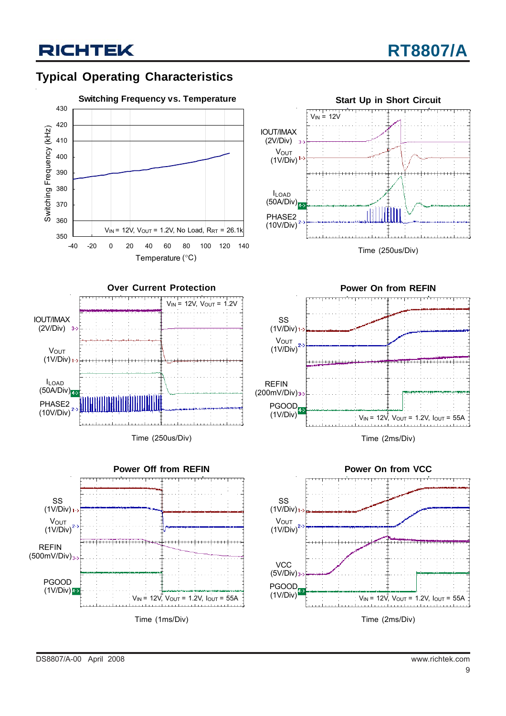### **Typical Operating Characteristics**





Time (250us/Div)







Time (2ms/Div)



DS8807/A-00 April 2008 www.richtek.com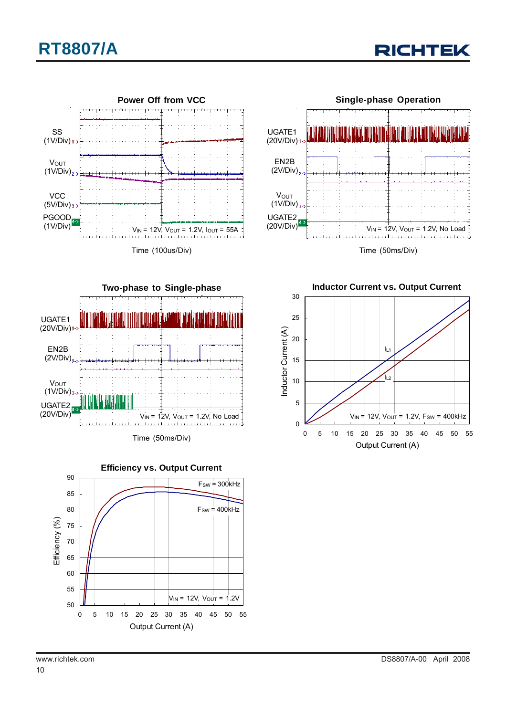





Time (100us/Div)





Time (50ms/Div)



**Inductor Current vs. Output Current** 30 25 Inductor Current (A) Inductor Current (A) 20 IL1 15 .<br>د ا 10 5  $V_{IN}$  = 12V,  $V_{OUT}$  = 1.2V,  $F_{SW}$  = 400kHz 0 0 5 10 15 20 25 30 35 40 45 50 55 Output Current (A)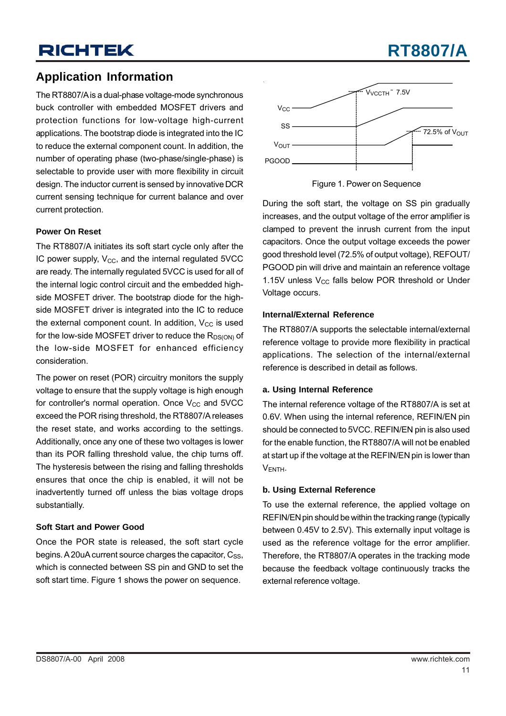### **Application Information**

The RT8807/A is a dual-phase voltage-mode synchronous buck controller with embedded MOSFET drivers and protection functions for low-voltage high-current applications. The bootstrap diode is integrated into the IC to reduce the external component count. In addition, the number of operating phase (two-phase/single-phase) is selectable to provide user with more flexibility in circuit design. The inductor current is sensed by innovative DCR current sensing technique for current balance and over current protection.

### **Power On Reset**

The RT8807/A initiates its soft start cycle only after the IC power supply,  $V_{CC}$ , and the internal regulated 5VCC are ready. The internally regulated 5VCC is used for all of the internal logic control circuit and the embedded highside MOSFET driver. The bootstrap diode for the highside MOSFET driver is integrated into the IC to reduce the external component count. In addition,  $V_{CC}$  is used for the low-side MOSFET driver to reduce the  $R_{DS(ON)}$  of the low-side MOSFET for enhanced efficiency consideration.

The power on reset (POR) circuitry monitors the supply voltage to ensure that the supply voltage is high enough for controller's normal operation. Once  $V_{CC}$  and  $5VCC$ exceed the POR rising threshold, the RT8807/A releases the reset state, and works according to the settings. Additionally, once any one of these two voltages is lower than its POR falling threshold value, the chip turns off. The hysteresis between the rising and falling thresholds ensures that once the chip is enabled, it will not be inadvertently turned off unless the bias voltage drops substantially.

#### **Soft Start and Power Good**

Once the POR state is released, the soft start cycle begins. A 20uA current source charges the capacitor,  $Cs<sub>SS</sub>$ , which is connected between SS pin and GND to set the soft start time. Figure 1 shows the power on sequence.



Figure 1. Power on Sequence

During the soft start, the voltage on SS pin gradually increases, and the output voltage of the error amplifier is clamped to prevent the inrush current from the input capacitors. Once the output voltage exceeds the power good threshold level (72.5% of output voltage), REFOUT/ PGOOD pin will drive and maintain an reference voltage 1.15V unless  $V_{CC}$  falls below POR threshold or Under Voltage occurs.

#### **Internal/External Reference**

The RT8807/A supports the selectable internal/external reference voltage to provide more flexibility in practical applications. The selection of the internal/external reference is described in detail as follows.

#### **a. Using Internal Reference**

The internal reference voltage of the RT8807/A is set at 0.6V. When using the internal reference, REFIN/EN pin should be connected to 5VCC. REFIN/EN pin is also used for the enable function, the RT8807/A will not be enabled at start up if the voltage at the REFIN/EN pin is lower than VENTH.

### **b. Using External Reference**

To use the external reference, the applied voltage on REFIN/EN pin should be within the tracking range (typically between 0.45V to 2.5V). This externally input voltage is used as the reference voltage for the error amplifier. Therefore, the RT8807/A operates in the tracking mode because the feedback voltage continuously tracks the external reference voltage.

## **RT8807/A**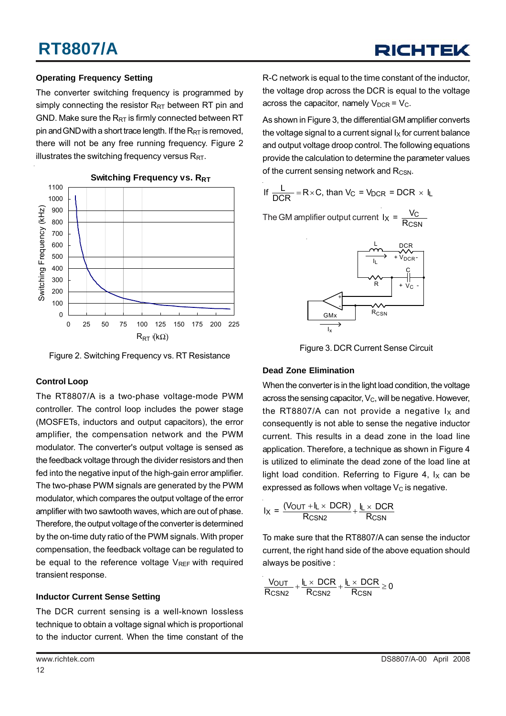### **Operating Frequency Setting**

The converter switching frequency is programmed by simply connecting the resistor  $R_{RT}$  between RT pin and GND. Make sure the  $R_{RT}$  is firmly connected between RT pin and GND with a short trace length. If the  $R_{RT}$  is removed, there will not be any free running frequency. Figure 2 illustrates the switching frequency versus  $R_{RT}$ .



### **Switching Frequency vs. RRT**

Figure 2. Switching Frequency vs. RT Resistance

### **Control Loop**

The RT8807/A is a two-phase voltage-mode PWM controller. The control loop includes the power stage (MOSFETs, inductors and output capacitors), the error amplifier, the compensation network and the PWM modulator. The converter's output voltage is sensed as the feedback voltage through the divider resistors and then fed into the negative input of the high-gain error amplifier. The two-phase PWM signals are generated by the PWM modulator, which compares the output voltage of the error amplifier with two sawtooth waves, which are out of phase. Therefore, the output voltage of the converter is determined by the on-time duty ratio of the PWM signals. With proper compensation, the feedback voltage can be regulated to be equal to the reference voltage  $V_{REF}$  with required transient response.

### **Inductor Current Sense Setting**

The DCR current sensing is a well-known lossless technique to obtain a voltage signal which is proportional to the inductor current. When the time constant of the

R-C network is equal to the time constant of the inductor, the voltage drop across the DCR is equal to the voltage across the capacitor, namely  $V_{DCR} = V_C$ .

As shown in Figure 3, the differential GM amplifier converts the voltage signal to a current signal  $I_X$  for current balance and output voltage droop control. The following equations provide the calculation to determine the parameter values of the current sensing network and  $R_{\text{CSN}}$ .

If 
$$
\frac{L}{DCR}
$$
 = R × C, than V<sub>C</sub> = V<sub>DCR</sub> = DCR × I<sub>L</sub>

The GM amplifier output current  $I_X = \frac{V_C}{R_{CSN}}$ 



Figure 3. DCR Current Sense Circuit

### **Dead Zone Elimination**

When the converter is in the light load condition, the voltage across the sensing capacitor,  $V_C$ , will be negative. However, the RT8807/A can not provide a negative  $I_X$  and consequently is not able to sense the negative inductor current. This results in a dead zone in the load line application. Therefore, a technique as shown in Figure 4 is utilized to eliminate the dead zone of the load line at light load condition. Referring to Figure 4,  $I_X$  can be expressed as follows when voltage  $V_c$  is negative.

$$
I_X = \frac{(V_{OUT} + I_L \times DCR)}{R_{CSN2}} + \frac{I_L \times DCR}{R_{CSN}}
$$

To make sure that the RT8807/A can sense the inductor current, the right hand side of the above equation should always be positive :

$$
\frac{V_{OUT}}{R_{CSN2}} + \frac{I_L \times DCR}{R_{CSN2}} + \frac{I_L \times DCR}{R_{CSN}} \geq 0
$$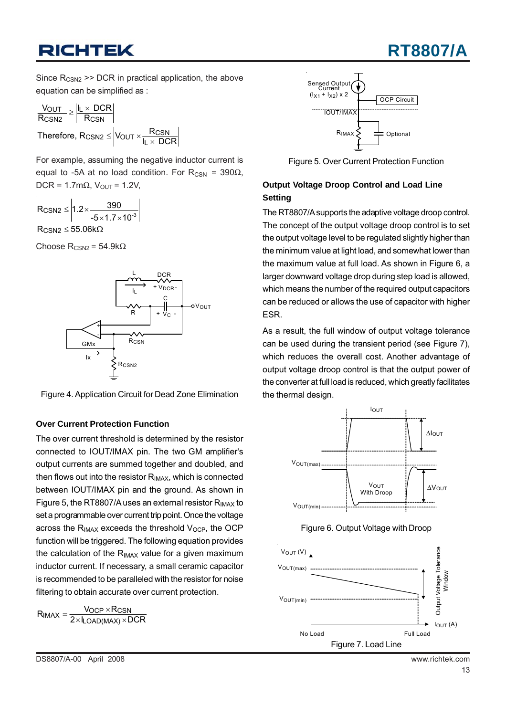## **RT8807/A**

Since  $R_{CSN2}$  >> DCR in practical application, the above equation can be simplified as :

$$
\frac{V_{OUT}}{R_{CSN2}} \ge \left| \frac{I_L \times DCR}{R_{CSN}} \right|
$$
\n
$$
Therefore, R_{CSN2} \le \left| V_{OUT} \times \frac{R_{CSN}}{I_L \times DCR} \right|
$$

For example, assuming the negative inductor current is equal to -5A at no load condition. For  $R_{CSN}$  = 390 $\Omega$ , DCR = 1.7m $\Omega$ , V<sub>OUT</sub> = 1.2V,

$$
R_{CSN2} \leq \left| 1.2 \times \frac{390}{-5 \times 1.7 \times 10^{-3}} \right|
$$

 $\mathsf{R}_{\mathsf{CSN2}} \leq 55.06 \mathrm{k}\Omega$ 

Choose  $R_{CSN2}$  = 54.9k $\Omega$ 





### **Over Current Protection Function**

The over current threshold is determined by the resistor connected to IOUT/IMAX pin. The two GM amplifier's output currents are summed together and doubled, and then flows out into the resistor  $R_{IMAX}$ , which is connected between IOUT/IMAX pin and the ground. As shown in Figure 5, the RT8807/A uses an external resistor R<sub>IMAX</sub> to set a programmable over current trip point. Once the voltage across the  $R_{IMAX}$  exceeds the threshold  $V_{OCP}$ , the OCP function will be triggered. The following equation provides the calculation of the  $R_{IMAX}$  value for a given maximum inductor current. If necessary, a small ceramic capacitor is recommended to be paralleled with the resistor for noise filtering to obtain accurate over current protection.

 $R_{IMAX} = \frac{V_{OCP} \times R_{CSN}}{2 \times I_{LOAD(MAX)} \times DCR}$ 



Figure 5. Over Current Protection Function

### **Output Voltage Droop Control and Load Line Setting**

The RT8807/A supports the adaptive voltage droop control. The concept of the output voltage droop control is to set the output voltage level to be regulated slightly higher than the minimum value at light load, and somewhat lower than the maximum value at full load. As shown in Figure 6, a larger downward voltage drop during step load is allowed, which means the number of the required output capacitors can be reduced or allows the use of capacitor with higher ESR.

As a result, the full window of output voltage tolerance can be used during the transient period (see Figure 7), which reduces the overall cost. Another advantage of output voltage droop control is that the output power of the converter at full load is reduced, which greatly facilitates the thermal design.





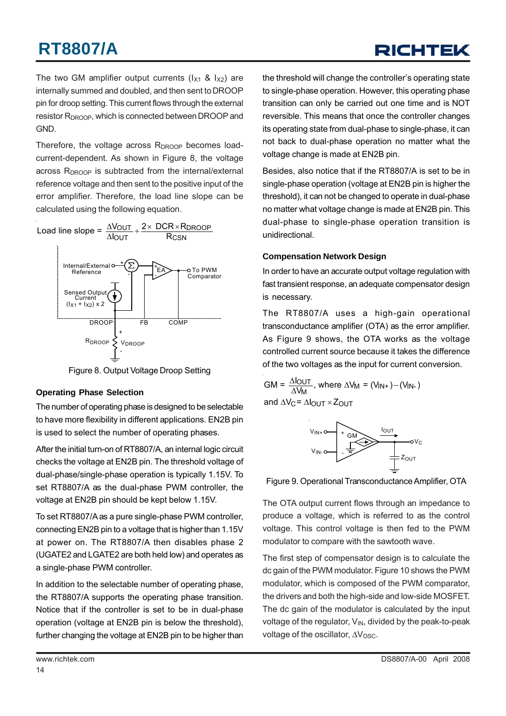## RICHTEL

The two GM amplifier output currents  $(I_{X1}$  &  $I_{X2})$  are internally summed and doubled, and then sent to DROOP pin for droop setting. This current flows through the external resistor R<sub>DROOP</sub>, which is connected between DROOP and GND.

Therefore, the voltage across R<sub>DROOP</sub> becomes loadcurrent-dependent. As shown in Figure 8, the voltage across R<sub>DROOP</sub> is subtracted from the internal/external reference voltage and then sent to the positive input of the error amplifier. Therefore, the load line slope can be calculated using the following equation.



Figure 8. Output Voltage Droop Setting

### **Operating Phase Selection**

The number of operating phase is designed to be selectable to have more flexibility in different applications. EN2B pin is used to select the number of operating phases.

After the initial turn-on of RT8807/A, an internal logic circuit checks the voltage at EN2B pin. The threshold voltage of dual-phase/single-phase operation is typically 1.15V. To set RT8807/A as the dual-phase PWM controller, the voltage at EN2B pin should be kept below 1.15V.

To set RT8807/A as a pure single-phase PWM controller, connecting EN2B pin to a voltage that is higher than 1.15V at power on. The RT8807/A then disables phase 2 (UGATE2 and LGATE2 are both held low) and operates as a single-phase PWM controller.

In addition to the selectable number of operating phase, the RT8807/A supports the operating phase transition. Notice that if the controller is set to be in dual-phase operation (voltage at EN2B pin is below the threshold), further changing the voltage at EN2B pin to be higher than the threshold will change the controller's operating state to single-phase operation. However, this operating phase transition can only be carried out one time and is NOT reversible. This means that once the controller changes its operating state from dual-phase to single-phase, it can not back to dual-phase operation no matter what the voltage change is made at EN2B pin.

Besides, also notice that if the RT8807/A is set to be in single-phase operation (voltage at EN2B pin is higher the threshold), it can not be changed to operate in dual-phase no matter what voltage change is made at EN2B pin. This dual-phase to single-phase operation transition is unidirectional.

### **Compensation Network Design**

In order to have an accurate output voltage regulation with fast transient response, an adequate compensator design is necessary.

The RT8807/A uses a high-gain operational transconductance amplifier (OTA) as the error amplifier. As Figure 9 shows, the OTA works as the voltage controlled current source because it takes the difference of the two voltages as the input for current conversion.

$$
GM = \frac{\Delta l_{OUT}}{\Delta V_M}
$$
, where  $\Delta V_M = (V_{IN+}) - (V_{IN-})$   
and  $\Delta V_C = \Delta l_{OUT} \times Z_{OUT}$ 



Figure 9. Operational Transconductance Amplifier, OTA

The OTA output current flows through an impedance to produce a voltage, which is referred to as the control voltage. This control voltage is then fed to the PWM modulator to compare with the sawtooth wave.

The first step of compensator design is to calculate the dc gain of the PWM modulator. Figure 10 shows the PWM modulator, which is composed of the PWM comparator, the drivers and both the high-side and low-side MOSFET. The dc gain of the modulator is calculated by the input voltage of the regulator,  $V_{IN}$ , divided by the peak-to-peak voltage of the oscillator,  $\Delta V_{\rm OSC}$ .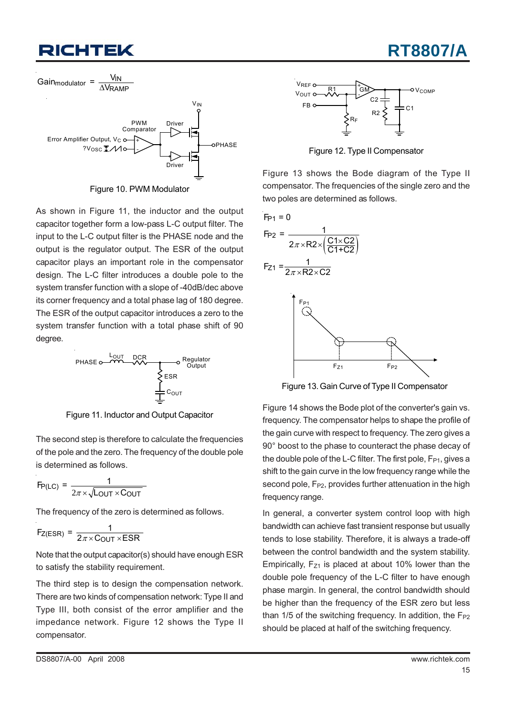

Figure 10. PWM Modulator

As shown in Figure 11, the inductor and the output capacitor together form a low-pass L-C output filter. The input to the L-C output filter is the PHASE node and the output is the regulator output. The ESR of the output capacitor plays an important role in the compensator design. The L-C filter introduces a double pole to the system transfer function with a slope of -40dB/dec above its corner frequency and a total phase lag of 180 degree. The ESR of the output capacitor introduces a zero to the system transfer function with a total phase shift of 90 degree.



Figure 11. Inductor and Output Capacitor

The second step is therefore to calculate the frequencies of the pole and the zero. The frequency of the double pole is determined as follows.

$$
F_{P(LC)} = \frac{1}{2\pi \times \sqrt{L_{OUT} \times C_{OUT}}}
$$

The frequency of the zero is determined as follows.

$$
F_{Z(ESR)} = \frac{1}{2\pi \times \text{COUT} \times \text{ESR}}
$$

Note that the output capacitor(s) should have enough ESR to satisfy the stability requirement.

The third step is to design the compensation network. There are two kinds of compensation network: Type II and Type III, both consist of the error amplifier and the impedance network. Figure 12 shows the Type II compensator.



**RT8807/A**

Figure 12. Type II Compensator

Figure 13 shows the Bode diagram of the Type II compensator. The frequencies of the single zero and the two poles are determined as follows.



Figure 13. Gain Curve of Type II Compensator

Figure 14 shows the Bode plot of the converter's gain vs. frequency. The compensator helps to shape the profile of the gain curve with respect to frequency. The zero gives a 90° boost to the phase to counteract the phase decay of the double pole of the L-C filter. The first pole,  $F_{P1}$ , gives a shift to the gain curve in the low frequency range while the second pole,  $F_{P2}$ , provides further attenuation in the high frequency range.

In general, a converter system control loop with high bandwidth can achieve fast transient response but usually tends to lose stability. Therefore, it is always a trade-off between the control bandwidth and the system stability. Empirically,  $F_{71}$  is placed at about 10% lower than the double pole frequency of the L-C filter to have enough phase margin. In general, the control bandwidth should be higher than the frequency of the ESR zero but less than  $1/5$  of the switching frequency. In addition, the  $F_{P2}$ should be placed at half of the switching frequency.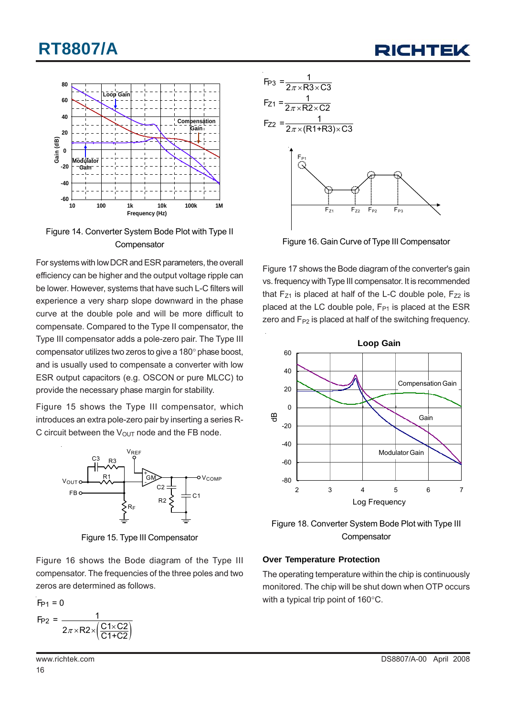



Figure 14. Converter System Bode Plot with Type II **Compensator** 

For systems with low DCR and ESR parameters, the overall efficiency can be higher and the output voltage ripple can be lower. However, systems that have such L-C filters will experience a very sharp slope downward in the phase curve at the double pole and will be more difficult to compensate. Compared to the Type II compensator, the Type III compensator adds a pole-zero pair. The Type III compensator utilizes two zeros to give a 180° phase boost, and is usually used to compensate a converter with low ESR output capacitors (e.g. OSCON or pure MLCC) to provide the necessary phase margin for stability.

Figure 15 shows the Type III compensator, which introduces an extra pole-zero pair by inserting a series R-C circuit between the  $V_{\text{OUT}}$  node and the FB node.



Figure 15. Type III Compensator

Figure 16 shows the Bode diagram of the Type III compensator. The frequencies of the three poles and two zeros are determined as follows.

$$
F_{P1} = 0
$$
  
\n $F_{P2} = \frac{1}{2\pi \times R2 \times (\frac{C1 \times C2}{C1 + C2})}$ 



Figure 16. Gain Curve of Type III Compensator

Figure 17 shows the Bode diagram of the converter's gain vs. frequency with Type III compensator. It is recommended that  $F_{Z1}$  is placed at half of the L-C double pole,  $F_{Z2}$  is placed at the LC double pole,  $F_{P1}$  is placed at the ESR zero and  $F_{P2}$  is placed at half of the switching frequency.



Figure 18. Converter System Bode Plot with Type III **Compensator** 

### **Over Temperature Protection**

The operating temperature within the chip is continuously monitored. The chip will be shut down when OTP occurs with a typical trip point of 160°C.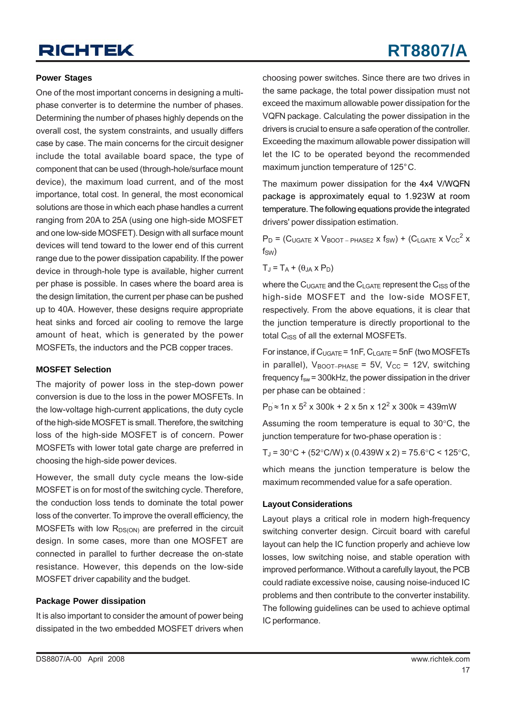## **RT8807/A**

### **Power Stages**

One of the most important concerns in designing a multiphase converter is to determine the number of phases. Determining the number of phases highly depends on the overall cost, the system constraints, and usually differs case by case. The main concerns for the circuit designer include the total available board space, the type of component that can be used (through-hole/surface mount device), the maximum load current, and of the most importance, total cost. In general, the most economical solutions are those in which each phase handles a current ranging from 20A to 25A (using one high-side MOSFET and one low-side MOSFET). Design with all surface mount devices will tend toward to the lower end of this current range due to the power dissipation capability. If the power device in through-hole type is available, higher current per phase is possible. In cases where the board area is the design limitation, the current per phase can be pushed up to 40A. However, these designs require appropriate heat sinks and forced air cooling to remove the large amount of heat, which is generated by the power MOSFETs, the inductors and the PCB copper traces.

#### **MOSFET Selection**

The majority of power loss in the step-down power conversion is due to the loss in the power MOSFETs. In the low-voltage high-current applications, the duty cycle of the high-side MOSFET is small. Therefore, the switching loss of the high-side MOSFET is of concern. Power MOSFETs with lower total gate charge are preferred in choosing the high-side power devices.

However, the small duty cycle means the low-side MOSFET is on for most of the switching cycle. Therefore, the conduction loss tends to dominate the total power loss of the converter. To improve the overall efficiency, the MOSFETs with low  $R_{DS(ON)}$  are preferred in the circuit design. In some cases, more than one MOSFET are connected in parallel to further decrease the on-state resistance. However, this depends on the low-side MOSFET driver capability and the budget.

#### **Package Power dissipation**

It is also important to consider the amount of power being dissipated in the two embedded MOSFET drivers when choosing power switches. Since there are two drives in the same package, the total power dissipation must not exceed the maximum allowable power dissipation for the VQFN package. Calculating the power dissipation in the drivers is crucial to ensure a safe operation of the controller. Exceeding the maximum allowable power dissipation will let the IC to be operated beyond the recommended maximum junction temperature of 125°C.

The maximum power dissipation for the 4x4 V/WQFN package is approximately equal to 1.923W at room temperature. The following equations provide the integrated drivers' power dissipation estimation.

 $P_D$  = (C<sub>UGATE</sub> x V<sub>BOOT – PHASE2</sub> x f<sub>SW</sub>) + (C<sub>LGATE</sub> x V<sub>CC</sub><sup>2</sup> x  $f_{SW}$ 

$$
T_J = T_A + (\theta_{JA} \times P_D)
$$

where the  $C_{\text{UGATE}}$  and the  $C_{\text{IGATE}}$  represent the  $C_{\text{ISS}}$  of the high-side MOSFET and the low-side MOSFET, respectively. From the above equations, it is clear that the junction temperature is directly proportional to the total C<sub>ISS</sub> of all the external MOSFETs.

For instance, if  $C_{UGATE}$  = 1nF,  $C_{IGATE}$  = 5nF (two MOSFETs in parallel),  $V_{\text{BOOT}-PHASE}$  = 5V,  $V_{\text{CC}}$  = 12V, switching frequency  $f_{sw}$  = 300kHz, the power dissipation in the driver per phase can be obtained :

 $P_D \approx 1$ n x  $5^2$  x 300k + 2 x 5n x 12<sup>2</sup> x 300k = 439mW

Assuming the room temperature is equal to 30°C, the junction temperature for two-phase operation is :

 $T_{\rm J}$  = 30°C + (52°C/W) x (0.439W x 2) = 75.6°C < 125°C,

which means the junction temperature is below the maximum recommended value for a safe operation.

#### **Layout Considerations**

Layout plays a critical role in modern high-frequency switching converter design. Circuit board with careful layout can help the IC function properly and achieve low losses, low switching noise, and stable operation with improved performance. Without a carefully layout, the PCB could radiate excessive noise, causing noise-induced IC problems and then contribute to the converter instability. The following guidelines can be used to achieve optimal IC performance.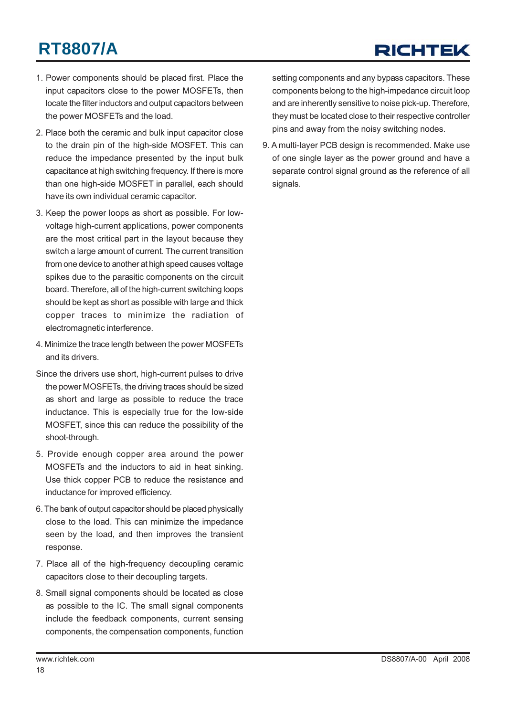## RICHTEK

- 1. Power components should be placed first. Place the input capacitors close to the power MOSFETs, then locate the filter inductors and output capacitors between the power MOSFETs and the load.
- 2. Place both the ceramic and bulk input capacitor close to the drain pin of the high-side MOSFET. This can reduce the impedance presented by the input bulk capacitance at high switching frequency. If there is more than one high-side MOSFET in parallel, each should have its own individual ceramic capacitor.
- 3. Keep the power loops as short as possible. For lowvoltage high-current applications, power components are the most critical part in the layout because they switch a large amount of current. The current transition from one device to another at high speed causes voltage spikes due to the parasitic components on the circuit board. Therefore, all of the high-current switching loops should be kept as short as possible with large and thick copper traces to minimize the radiation of electromagnetic interference.
- 4. Minimize the trace length between the power MOSFETs and its drivers.
- Since the drivers use short, high-current pulses to drive the power MOSFETs, the driving traces should be sized as short and large as possible to reduce the trace inductance. This is especially true for the low-side MOSFET, since this can reduce the possibility of the shoot-through.
- 5. Provide enough copper area around the power MOSFETs and the inductors to aid in heat sinking. Use thick copper PCB to reduce the resistance and inductance for improved efficiency.
- 6. The bank of output capacitor should be placed physically close to the load. This can minimize the impedance seen by the load, and then improves the transient response.
- 7. Place all of the high-frequency decoupling ceramic capacitors close to their decoupling targets.
- 8. Small signal components should be located as close as possible to the IC. The small signal components include the feedback components, current sensing components, the compensation components, function

setting components and any bypass capacitors. These components belong to the high-impedance circuit loop and are inherently sensitive to noise pick-up. Therefore, they must be located close to their respective controller pins and away from the noisy switching nodes.

9. A multi-layer PCB design is recommended. Make use of one single layer as the power ground and have a separate control signal ground as the reference of all signals.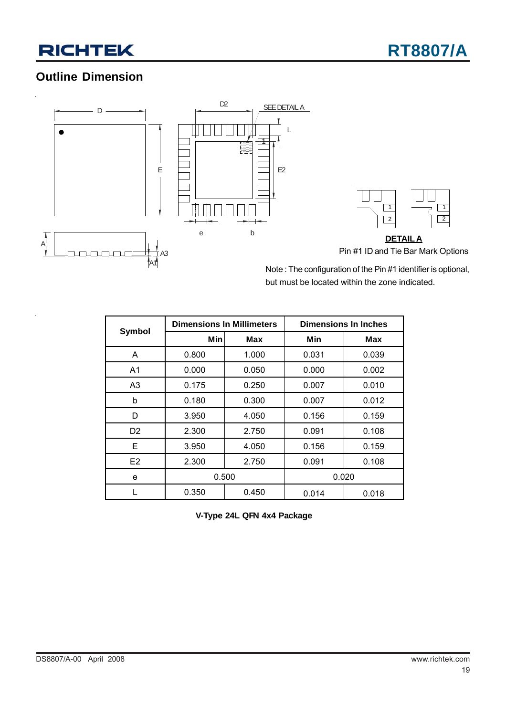### **Outline Dimension**



Note : The configuration of the Pin #1 identifier is optional, but must be located within the zone indicated.

|                |       | <b>Dimensions In Millimeters</b> | <b>Dimensions In Inches</b> |       |  |
|----------------|-------|----------------------------------|-----------------------------|-------|--|
| Symbol         | Min   | <b>Max</b>                       | Min                         | Max   |  |
| A              | 0.800 | 1.000                            | 0.031                       | 0.039 |  |
| A <sub>1</sub> | 0.000 | 0.050                            | 0.000                       | 0.002 |  |
| A3             | 0.175 | 0.250                            | 0.007                       | 0.010 |  |
| b              | 0.180 | 0.300                            | 0.007                       | 0.012 |  |
| D              | 3.950 | 4.050                            | 0.156                       | 0.159 |  |
| D <sub>2</sub> | 2.300 | 2.750                            | 0.091                       | 0.108 |  |
| Е              | 3.950 | 4.050                            | 0.156                       | 0.159 |  |
| E <sub>2</sub> | 2.300 | 2.750                            | 0.091                       | 0.108 |  |
| e              | 0.500 |                                  |                             | 0.020 |  |
|                | 0.350 | 0.450                            | 0.014                       | 0.018 |  |

**V-Type 24L QFN 4x4 Package**